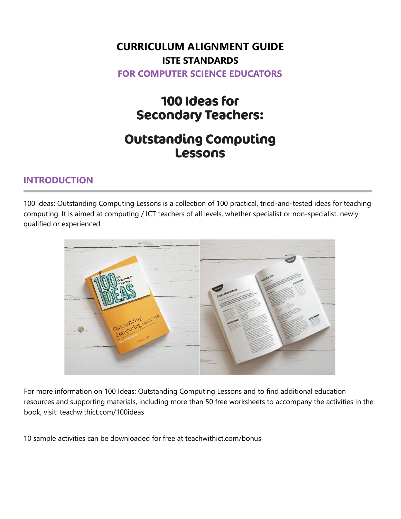### **CURRICULUM ALIGNMENT GUIDE ISTE STANDARDS FOR COMPUTER SCIENCE EDUCATORS**

# 100 Ideas for **Secondary Teachers:**

## **Outstanding Computing Lessons**

#### **INTRODUCTION**

100 ideas: Outstanding Computing Lessons is a collection of 100 practical, tried-and-tested ideas for teaching computing. It is aimed at computing / ICT teachers of all levels, whether specialist or non-specialist, newly qualified or experienced.



For more information on 100 Ideas: Outstanding Computing Lessons and to find additional education resources and supporting materials, including more than 50 free worksheets to accompany the activities in the book, visit: teachwithict.com/100ideas

10 sample activities can be downloaded for free at teachwithict.com/bonus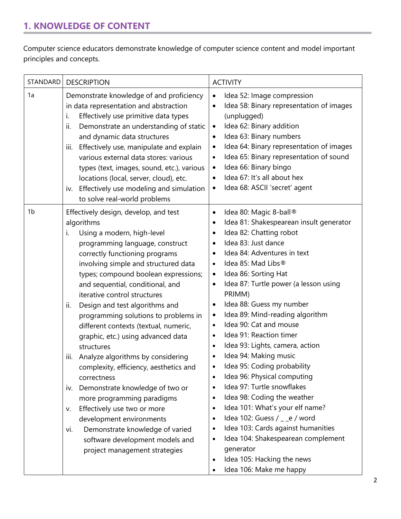#### **1. KNOWLEDGE OF CONTENT**

Computer science educators demonstrate knowledge of computer science content and model important principles and concepts.

| STANDARD       | <b>DESCRIPTION</b>                                                                                                                                                                                                                                                                                                                                                                                                                                                                                                                                                                                                                                                                                                                                                                                                                                        | <b>ACTIVITY</b>                                                                                                                                                                                                                                                                                                                                                                                                                                                                                                                                                                                                                                                                                                                                                                                                                                                                                                                                                                                                                                          |
|----------------|-----------------------------------------------------------------------------------------------------------------------------------------------------------------------------------------------------------------------------------------------------------------------------------------------------------------------------------------------------------------------------------------------------------------------------------------------------------------------------------------------------------------------------------------------------------------------------------------------------------------------------------------------------------------------------------------------------------------------------------------------------------------------------------------------------------------------------------------------------------|----------------------------------------------------------------------------------------------------------------------------------------------------------------------------------------------------------------------------------------------------------------------------------------------------------------------------------------------------------------------------------------------------------------------------------------------------------------------------------------------------------------------------------------------------------------------------------------------------------------------------------------------------------------------------------------------------------------------------------------------------------------------------------------------------------------------------------------------------------------------------------------------------------------------------------------------------------------------------------------------------------------------------------------------------------|
| 1a             | Demonstrate knowledge of and proficiency<br>in data representation and abstraction<br>Effectively use primitive data types<br>i.<br>Demonstrate an understanding of static<br>ii.<br>and dynamic data structures<br>Effectively use, manipulate and explain<br>Ш.<br>various external data stores: various<br>types (text, images, sound, etc.), various<br>locations (local, server, cloud), etc.<br>Effectively use modeling and simulation<br>IV.<br>to solve real-world problems                                                                                                                                                                                                                                                                                                                                                                      | Idea 52: Image compression<br>$\bullet$<br>Idea 58: Binary representation of images<br>$\bullet$<br>(unplugged)<br>Idea 62: Binary addition<br>$\bullet$<br>Idea 63: Binary numbers<br>$\bullet$<br>Idea 64: Binary representation of images<br>$\bullet$<br>Idea 65: Binary representation of sound<br>$\bullet$<br>Idea 66: Binary bingo<br>$\bullet$<br>Idea 67: It's all about hex<br>$\bullet$<br>Idea 68: ASCII 'secret' agent<br>$\bullet$                                                                                                                                                                                                                                                                                                                                                                                                                                                                                                                                                                                                        |
| 1 <sub>b</sub> | Effectively design, develop, and test<br>algorithms<br>Using a modern, high-level<br>i.<br>programming language, construct<br>correctly functioning programs<br>involving simple and structured data<br>types; compound boolean expressions;<br>and sequential, conditional, and<br>iterative control structures<br>Design and test algorithms and<br>ii.<br>programming solutions to problems in<br>different contexts (textual, numeric,<br>graphic, etc.) using advanced data<br>structures<br>Analyze algorithms by considering<br>Ш.<br>complexity, efficiency, aesthetics and<br>correctness<br>Demonstrate knowledge of two or<br>IV.<br>more programming paradigms<br>Effectively use two or more<br>V.<br>development environments<br>Demonstrate knowledge of varied<br>vi.<br>software development models and<br>project management strategies | Idea 80: Magic 8-ball®<br>$\bullet$<br>Idea 81: Shakespearean insult generator<br>$\bullet$<br>Idea 82: Chatting robot<br>$\bullet$<br>Idea 83: Just dance<br>$\bullet$<br>Idea 84: Adventures in text<br>Idea 85: Mad Libs®<br>$\bullet$<br>Idea 86: Sorting Hat<br>$\bullet$<br>Idea 87: Turtle power (a lesson using<br>$\bullet$<br>PRIMM)<br>Idea 88: Guess my number<br>$\bullet$<br>Idea 89: Mind-reading algorithm<br>$\bullet$<br>Idea 90: Cat and mouse<br>$\bullet$<br>Idea 91: Reaction timer<br>$\bullet$<br>Idea 93: Lights, camera, action<br>$\bullet$<br>Idea 94: Making music<br>Idea 95: Coding probability<br>Idea 96: Physical computing<br>$\bullet$<br>Idea 97: Turtle snowflakes<br>$\bullet$<br>Idea 98: Coding the weather<br>$\bullet$<br>Idea 101: What's your elf name?<br>$\bullet$<br>Idea 102: Guess / _ _e / word<br>$\bullet$<br>Idea 103: Cards against humanities<br>$\bullet$<br>Idea 104: Shakespearean complement<br>$\bullet$<br>generator<br>Idea 105: Hacking the news<br>$\bullet$<br>Idea 106: Make me happy |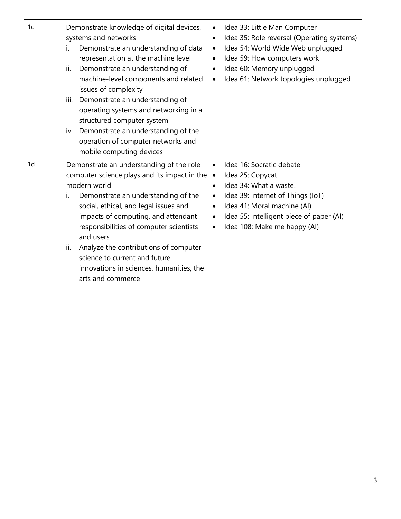| 1c             | Demonstrate knowledge of digital devices,<br>systems and networks<br>Demonstrate an understanding of data<br>İ.<br>representation at the machine level<br>Demonstrate an understanding of<br>ii.<br>machine-level components and related<br>issues of complexity<br>Demonstrate an understanding of<br>iii.<br>operating systems and networking in a<br>structured computer system<br>iv. Demonstrate an understanding of the<br>operation of computer networks and<br>mobile computing devices | Idea 33: Little Man Computer<br>$\bullet$<br>Idea 35: Role reversal (Operating systems)<br>$\bullet$<br>Idea 54: World Wide Web unplugged<br>$\bullet$<br>Idea 59: How computers work<br>$\bullet$<br>Idea 60: Memory unplugged<br>$\bullet$<br>Idea 61: Network topologies unplugged<br>$\bullet$                |
|----------------|-------------------------------------------------------------------------------------------------------------------------------------------------------------------------------------------------------------------------------------------------------------------------------------------------------------------------------------------------------------------------------------------------------------------------------------------------------------------------------------------------|-------------------------------------------------------------------------------------------------------------------------------------------------------------------------------------------------------------------------------------------------------------------------------------------------------------------|
| 1 <sub>d</sub> | Demonstrate an understanding of the role<br>computer science plays and its impact in the<br>modern world<br>Demonstrate an understanding of the<br>i.<br>social, ethical, and legal issues and<br>impacts of computing, and attendant<br>responsibilities of computer scientists<br>and users<br>Analyze the contributions of computer<br>ii.<br>science to current and future<br>innovations in sciences, humanities, the<br>arts and commerce                                                 | Idea 16: Socratic debate<br>$\bullet$<br>Idea 25: Copycat<br>$\bullet$<br>Idea 34: What a waste!<br>$\bullet$<br>Idea 39: Internet of Things (IoT)<br>$\bullet$<br>Idea 41: Moral machine (AI)<br>$\bullet$<br>Idea 55: Intelligent piece of paper (AI)<br>$\bullet$<br>Idea 108: Make me happy (AI)<br>$\bullet$ |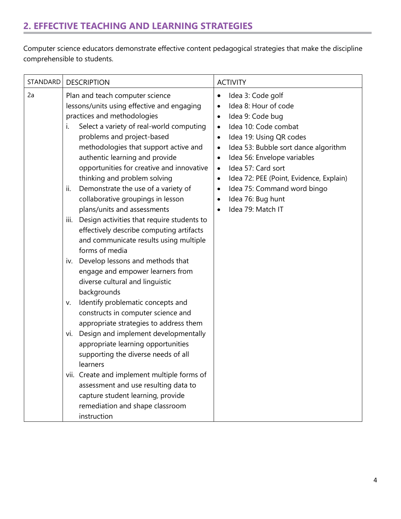#### **2. EFFECTIVE TEACHING AND LEARNING STRATEGIES**

Computer science educators demonstrate effective content pedagogical strategies that make the discipline comprehensible to students.

| STANDARD | <b>DESCRIPTION</b>                                                                                                                                                                                                                                                                                                                                                                                                                                                                                                                                                                                                                                                                                                                                                                                                                                                                                                                                                                                                                                                                                                                                                                                                | <b>ACTIVITY</b>                                                                                                                                                                                                                                                                                                                                                                                                                                               |
|----------|-------------------------------------------------------------------------------------------------------------------------------------------------------------------------------------------------------------------------------------------------------------------------------------------------------------------------------------------------------------------------------------------------------------------------------------------------------------------------------------------------------------------------------------------------------------------------------------------------------------------------------------------------------------------------------------------------------------------------------------------------------------------------------------------------------------------------------------------------------------------------------------------------------------------------------------------------------------------------------------------------------------------------------------------------------------------------------------------------------------------------------------------------------------------------------------------------------------------|---------------------------------------------------------------------------------------------------------------------------------------------------------------------------------------------------------------------------------------------------------------------------------------------------------------------------------------------------------------------------------------------------------------------------------------------------------------|
| 2a       | Plan and teach computer science<br>lessons/units using effective and engaging<br>practices and methodologies<br>Select a variety of real-world computing<br>i.<br>problems and project-based<br>methodologies that support active and<br>authentic learning and provide<br>opportunities for creative and innovative<br>thinking and problem solving<br>Demonstrate the use of a variety of<br>ii.<br>collaborative groupings in lesson<br>plans/units and assessments<br>Design activities that require students to<br>Ш.<br>effectively describe computing artifacts<br>and communicate results using multiple<br>forms of media<br>iv. Develop lessons and methods that<br>engage and empower learners from<br>diverse cultural and linguistic<br>backgrounds<br>Identify problematic concepts and<br>V.<br>constructs in computer science and<br>appropriate strategies to address them<br>Design and implement developmentally<br>Vİ.<br>appropriate learning opportunities<br>supporting the diverse needs of all<br>learners<br>vii. Create and implement multiple forms of<br>assessment and use resulting data to<br>capture student learning, provide<br>remediation and shape classroom<br>instruction | Idea 3: Code golf<br>٠<br>Idea 8: Hour of code<br>$\bullet$<br>Idea 9: Code bug<br>٠<br>Idea 10: Code combat<br>$\bullet$<br>Idea 19: Using QR codes<br>$\bullet$<br>Idea 53: Bubble sort dance algorithm<br>$\bullet$<br>Idea 56: Envelope variables<br>$\bullet$<br>Idea 57: Card sort<br>$\bullet$<br>Idea 72: PEE (Point, Evidence, Explain)<br>$\bullet$<br>Idea 75: Command word bingo<br>٠<br>Idea 76: Bug hunt<br>٠<br>Idea 79: Match IT<br>$\bullet$ |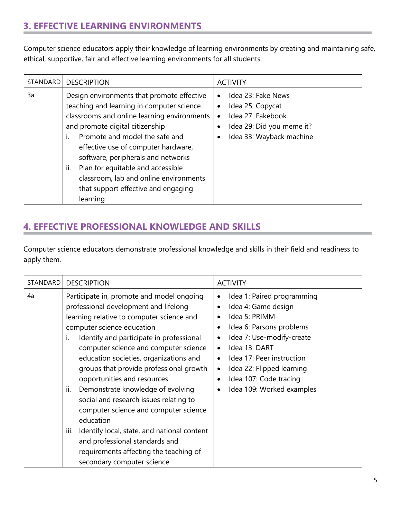#### **3. EFFECTIVE LEARNING ENVIRONMENTS**

Computer science educators apply their knowledge of learning environments by creating and maintaining safe, ethical, supportive, fair and effective learning environments for all students.

| STANDARD | <b>DESCRIPTION</b>                                                                                                                                                                                                                                                                                                                                                                                                                      | <b>ACTIVITY</b>                                                                                                                                                          |
|----------|-----------------------------------------------------------------------------------------------------------------------------------------------------------------------------------------------------------------------------------------------------------------------------------------------------------------------------------------------------------------------------------------------------------------------------------------|--------------------------------------------------------------------------------------------------------------------------------------------------------------------------|
| 3a       | Design environments that promote effective<br>teaching and learning in computer science<br>classrooms and online learning environments<br>and promote digital citizenship<br>Promote and model the safe and<br>Ť.<br>effective use of computer hardware,<br>software, peripherals and networks<br>ii.<br>Plan for equitable and accessible<br>classroom, lab and online environments<br>that support effective and engaging<br>learning | Idea 23: Fake News<br>$\bullet$<br>Idea 25: Copycat<br>$\bullet$<br>Idea 27: Fakebook<br>$\bullet$<br>Idea 29: Did you meme it?<br>$\bullet$<br>Idea 33: Wayback machine |

#### **4. EFFECTIVE PROFESSIONAL KNOWLEDGE AND SKILLS**

Computer science educators demonstrate professional knowledge and skills in their field and readiness to apply them.

| STANDARD | <b>DESCRIPTION</b>                                                                                                                                                                                                                                                                                                                                                                                                                                                                                                                                                                                                                                                                                  | <b>ACTIVITY</b>                                                                                                                                                                                                                                                                      |
|----------|-----------------------------------------------------------------------------------------------------------------------------------------------------------------------------------------------------------------------------------------------------------------------------------------------------------------------------------------------------------------------------------------------------------------------------------------------------------------------------------------------------------------------------------------------------------------------------------------------------------------------------------------------------------------------------------------------------|--------------------------------------------------------------------------------------------------------------------------------------------------------------------------------------------------------------------------------------------------------------------------------------|
| 4a       | Participate in, promote and model ongoing<br>professional development and lifelong<br>learning relative to computer science and<br>computer science education<br>Identify and participate in professional<br>$\mathbf{L}$<br>computer science and computer science<br>education societies, organizations and<br>groups that provide professional growth<br>opportunities and resources<br>Demonstrate knowledge of evolving<br>ii.<br>social and research issues relating to<br>computer science and computer science<br>education<br>Identify local, state, and national content<br>iii.<br>and professional standards and<br>requirements affecting the teaching of<br>secondary computer science | Idea 1: Paired programming<br>٠<br>Idea 4: Game design<br>Idea 5: PRIMM<br>Idea 6: Parsons problems<br>Idea 7: Use-modify-create<br>$\bullet$<br>Idea 13: DART<br>Idea 17: Peer instruction<br>Idea 22: Flipped learning<br>٠<br>Idea 107: Code tracing<br>Idea 109: Worked examples |